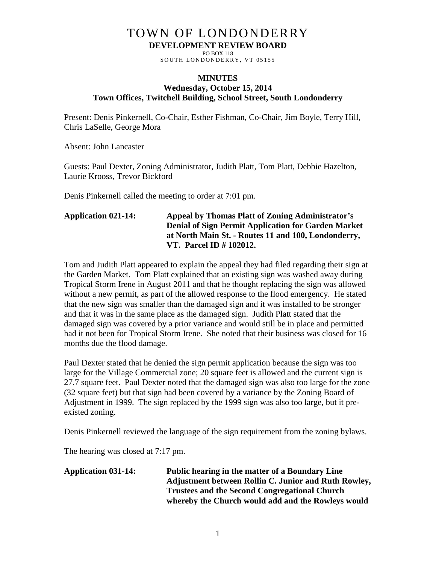# TOWN OF LONDONDERRY **DEVELOPMENT REVIEW BOARD**

PO BOX 118 SOUTH LONDONDERRY, VT 05155

#### **MINUTES Wednesday, October 15, 2014 Town Offices, Twitchell Building, School Street, South Londonderry**

Present: Denis Pinkernell, Co-Chair, Esther Fishman, Co-Chair, Jim Boyle, Terry Hill, Chris LaSelle, George Mora

Absent: John Lancaster

Guests: Paul Dexter, Zoning Administrator, Judith Platt, Tom Platt, Debbie Hazelton, Laurie Krooss, Trevor Bickford

Denis Pinkernell called the meeting to order at 7:01 pm.

# **Application 021-14: Appeal by Thomas Platt of Zoning Administrator's Denial of Sign Permit Application for Garden Market at North Main St. - Routes 11 and 100, Londonderry, VT. Parcel ID # 102012.**

Tom and Judith Platt appeared to explain the appeal they had filed regarding their sign at the Garden Market. Tom Platt explained that an existing sign was washed away during Tropical Storm Irene in August 2011 and that he thought replacing the sign was allowed without a new permit, as part of the allowed response to the flood emergency. He stated that the new sign was smaller than the damaged sign and it was installed to be stronger and that it was in the same place as the damaged sign. Judith Platt stated that the damaged sign was covered by a prior variance and would still be in place and permitted had it not been for Tropical Storm Irene. She noted that their business was closed for 16 months due the flood damage.

Paul Dexter stated that he denied the sign permit application because the sign was too large for the Village Commercial zone; 20 square feet is allowed and the current sign is 27.7 square feet. Paul Dexter noted that the damaged sign was also too large for the zone (32 square feet) but that sign had been covered by a variance by the Zoning Board of Adjustment in 1999. The sign replaced by the 1999 sign was also too large, but it preexisted zoning.

Denis Pinkernell reviewed the language of the sign requirement from the zoning bylaws.

The hearing was closed at 7:17 pm.

#### **Application 031-14: Public hearing in the matter of a Boundary Line Adjustment between Rollin C. Junior and Ruth Rowley, Trustees and the Second Congregational Church whereby the Church would add and the Rowleys would**